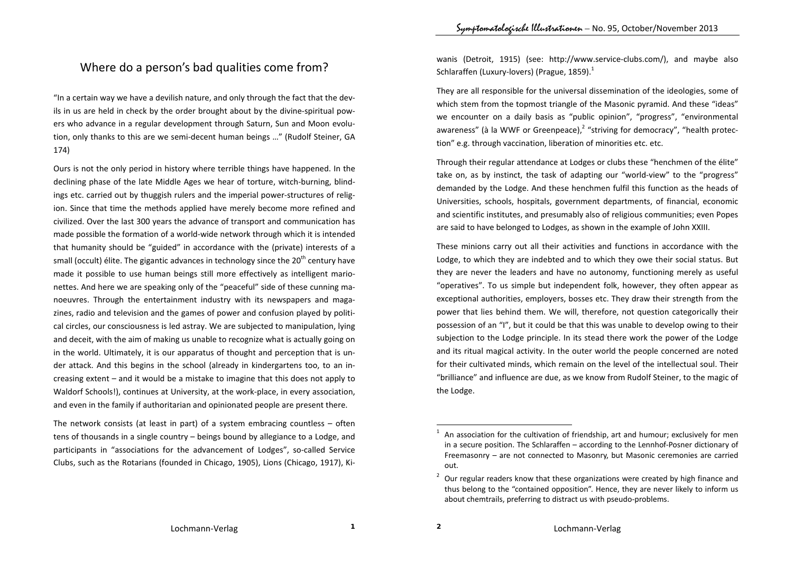## Where do <sup>a</sup> person's bad qualities come from?

"In <sup>a</sup> certain way we have <sup>a</sup> devilish nature, and only through the fact that the dev‐ ils in us are held in check by the order brought about by the divine‐spiritual pow‐ ers who advance in <sup>a</sup> regular development through Saturn, Sun and Moon evolu‐ tion, only thanks to this are we semi‐decent human beings …" (Rudolf Steiner, GA 174)

Ours is not the only period in history where terrible things have happened. In the declining phase of the late Middle Ages we hear of torture, witch-burning, blindings etc. carried out by thuggish rulers and the imperial power‐structures of relig‐ ion. Since that time the methods applied have merely become more refined and civilized. Over the last 300 years the advance of transport and communication has made possible the formation of <sup>a</sup> world‐wide network through which it is intended that humanity should be "guided" in accordance with the (private) interests of <sup>a</sup> small (occult) élite. The gigantic advances in technology since the 20<sup>th</sup> century have made it possible to use human beings still more effectively as intelligent mario‐ nettes. And here we are speaking only of the "peaceful" side of these cunning ma‐ noeuvres. Through the entertainment industry with its newspapers and maga‐ zines, radio and television and the games of power and confusion played by politi‐ cal circles, our consciousness is led astray. We are subjected to manipulation, lying and deceit, with the aim of making us unable to recognize what is actually going on in the world. Ultimately, it is our apparatus of thought and perception that is un‐ der attack. And this begins in the school (already in kindergartens too, to an in‐ creasing extent – and it would be <sup>a</sup> mistake to imagine that this does not apply to Waldorf Schools!), continues at University, at the work‐place, in every association, and even in the family if authoritarian and opinionated people are present there.

The network consists (at least in part) of <sup>a</sup> system embracing countless – often tens of thousands in <sup>a</sup> single country – beings bound by allegiance to <sup>a</sup> Lodge, and participants in "associations for the advancement of Lodges", so-called Service Clubs, such as the Rotarians (founded in Chicago, 1905), Lions (Chicago, 1917), Ki‐

wanis (Detroit, 1915) (see: http://www.service‐clubs.com/), and maybe also Schlaraffen (Luxury-lovers) (Prague, 1859). $^1$ 

They are all responsible for the universal dissemination of the ideologies, some of which stem from the topmost triangle of the Masonic pyramid. And these "ideas" we encounter on <sup>a</sup> daily basis as "public opinion", "progress", "environmental awareness" (à la WWF or Greenpeace),<sup>2</sup> "striving for democracy", "health protection" e.g. through vaccination, liberation of minorities etc. etc.

Through their regular attendance at Lodges or clubs these "henchmen of the élite" take on, as by instinct, the task of adapting our "world‐view" to the "progress" demanded by the Lodge. And these henchmen fulfil this function as the heads of Universities, schools, hospitals, government departments, of financial, economic and scientific institutes, and presumably also of religious communities; even Popes are said to have belonged to Lodges, as shown in the example of John XXIII.

These minions carry out all their activities and functions in accordance with the Lodge, to which they are indebted and to which they owe their social status. But they are never the leaders and have no autonomy, functioning merely as useful "operatives". To us simple but independent folk, however, they often appear as exceptional authorities, employers, bosses etc. They draw their strength from the power that lies behind them. We will, therefore, not question categorically their possession of an "I", but it could be that this was unable to develop owing to their subjection to the Lodge principle. In its stead there work the power of the Lodge and its ritual magical activity. In the outer world the people concerned are noted for their cultivated minds, which remain on the level of the intellectual soul. Their "brilliance" and influence are due, as we know from Rudolf Steiner, to the magic of the Lodge.

<sup>1</sup> $^{\prime}$  An association for the cultivation of friendship, art and humour; exclusively for men in <sup>a</sup> secure position. The Schlaraffen – according to the Lennhof‐Posner dictionary of Freemasonry – are not connected to Masonry, but Masonic ceremonies are carried out.

<sup>2</sup> $\degree$  Our regular readers know that these organizations were created by high finance and thus belong to the "contained opposition". Hence, they are never likely to inform us about chemtrails, preferring to distract us with pseudo‐problems.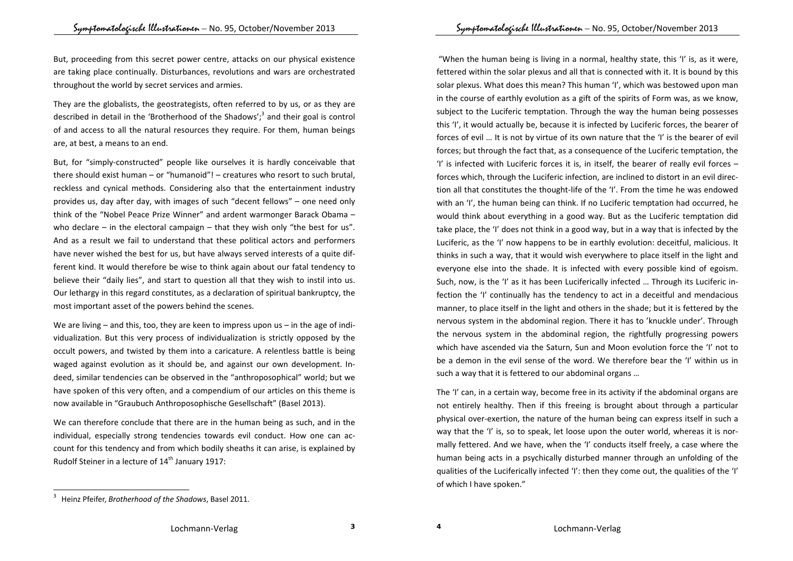But, proceeding from this secret power centre, attacks on our physical existence are taking place continually. Disturbances, revolutions and wars are orchestrated throughout the world by secret services and armies.

They are the globalists, the geostrategists, often referred to by us, or as they are described in detail in the 'Brotherhood of the Shadows';<sup>3</sup> and their goal is control of and access to all the natural resources they require. For them, human beings are, at best, <sup>a</sup> means to an end.

But, for "simply‐constructed" people like ourselves it is hardly conceivable that there should exist human – or "humanoid"! – creatures who resort to such brutal, reckless and cynical methods. Considering also that the entertainment industry provides us, day after day, with images of such "decent fellows" – one need only think of the "Nobel Peace Prize Winner" and ardent warmonger Barack Obama – who declare – in the electoral campaign – that they wish only "the best for us". And as <sup>a</sup> result we fail to understand that these political actors and performers have never wished the best for us, but have always served interests of <sup>a</sup> quite dif‐ ferent kind. It would therefore be wise to think again about our fatal tendency to believe their "daily lies", and start to question all that they wish to instil into us. Our lethargy in this regard constitutes, as <sup>a</sup> declaration of spiritual bankruptcy, the most important asset of the powers behind the scenes.

We are living – and this, too, they are keen to impress upon us – in the age of individualization. But this very process of individualization is strictly opposed by the occult powers, and twisted by them into <sup>a</sup> caricature. A relentless battle is being waged against evolution as it should be, and against our own development. In‐ deed, similar tendencies can be observed in the "anthroposophical" world; but we have spoken of this very often, and <sup>a</sup> compendium of our articles on this theme is now available in "Graubuch Anthroposophische Gesellschaft" (Basel 2013).

We can therefore conclude that there are in the human being as such, and in the individual, especially strong tendencies towards evil conduct. How one can ac‐ count for this tendency and from which bodily sheaths it can arise, is explained by Rudolf Steiner in a lecture of  $14^{\text{th}}$  January 1917:

"When the human being is living in <sup>a</sup> normal, healthy state, this 'I' is, as it were, fettered within the solar plexus and all that is connected with it. It is bound by this solar plexus. What does this mean? This human 'I', which was bestowed upon man in the course of earthly evolution as <sup>a</sup> gift of the spirits of Form was, as we know, subject to the Luciferic temptation. Through the way the human being possesses this 'I', it would actually be, because it is infected by Luciferic forces, the bearer of forces of evil … It is not by virtue of its own nature that the 'I' is the bearer of evil forces; but through the fact that, as <sup>a</sup> consequence of the Luciferic temptation, the 'I' is infected with Luciferic forces it is, in itself, the bearer of really evil forces  $$ forces which, through the Luciferic infection, are inclined to distort in an evil direc‐ tion all that constitutes the thought‐life of the 'I'. From the time he was endowed with an 'I', the human being can think. If no Luciferic temptation had occurred, he would think about everything in <sup>a</sup> good way. But as the Luciferic temptation did take place, the 'I' does not think in <sup>a</sup> good way, but in <sup>a</sup> way that is infected by the Luciferic, as the 'I' now happens to be in earthly evolution: deceitful, malicious. It thinks in such <sup>a</sup> way, that it would wish everywhere to place itself in the light and everyone else into the shade. It is infected with every possible kind of egoism. Such, now, is the 'I' as it has been Luciferically infected … Through its Luciferic in‐ fection the 'I' continually has the tendency to act in <sup>a</sup> deceitful and mendacious manner, to place itself in the light and others in the shade; but it is fettered by the nervous system in the abdominal region. There it has to 'knuckle under'. Through the nervous system in the abdominal region, the rightfully progressing powers which have ascended via the Saturn, Sun and Moon evolution force the 'I' not to be <sup>a</sup> demon in the evil sense of the word. We therefore bear the 'I' within us in such <sup>a</sup> way that it is fettered to our abdominal organs …

The 'I' can, in <sup>a</sup> certain way, become free in its activity if the abdominal organs are not entirely healthy. Then if this freeing is brought about through <sup>a</sup> particular physical over‐exertion, the nature of the human being can express itself in such <sup>a</sup> way that the 'I' is, so to speak, let loose upon the outer world, whereas it is normally fettered. And we have, when the 'I' conducts itself freely, <sup>a</sup> case where the human being acts in <sup>a</sup> psychically disturbed manner through an unfolding of the qualities of the Luciferically infected 'I': then they come out, the qualities of the 'I' of which I have spoken."

<sup>3</sup> Heinz Pfeifer, *Brotherhood of the Shadows*, Basel 2011.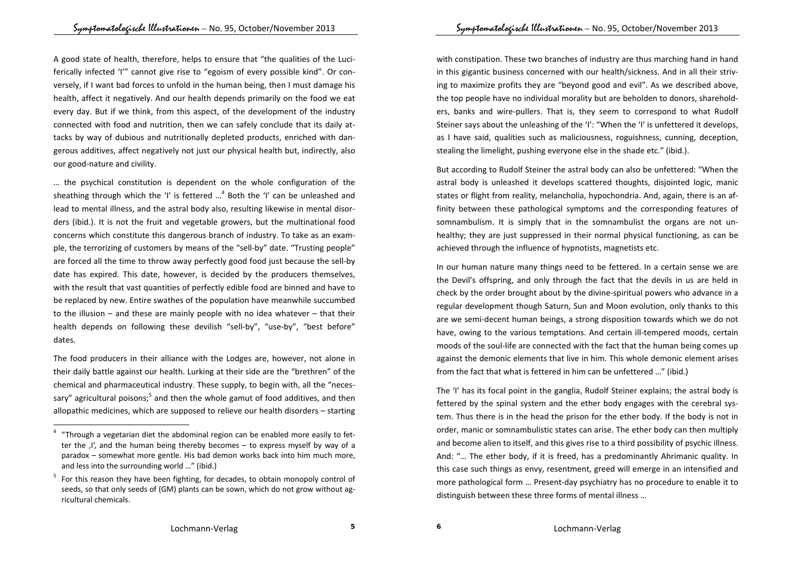A good state of health, therefore, helps to ensure that "the qualities of the Luci‐ ferically infected 'I'" cannot give rise to "egoism of every possible kind". Or con‐ versely, if I want bad forces to unfold in the human being, then I must damage his health, affect it negatively. And our health depends primarily on the food we eat every day. But if we think, from this aspect, of the development of the industry connected with food and nutrition, then we can safely conclude that its daily at‐ tacks by way of dubious and nutritionally depleted products, enriched with dan‐ gerous additives, affect negatively not just our physical health but, indirectly, also our good‐nature and civility.

… the psychical constitution is dependent on the whole configuration of the sheathing through which the 'I' is fettered  $\ldots$ <sup>4</sup> Both the 'I' can be unleashed and lead to mental illness, and the astral body also, resulting likewise in mental disor‐ ders (ibid.). It is not the fruit and vegetable growers, but the multinational food concerns which constitute this dangerous branch of industry. To take as an exam‐ ple, the terrorizing of customers by means of the "sell-by" date. "Trusting people" are forced all the time to throw away perfectly good food just because the sell‐by date has expired. This date, however, is decided by the producers themselves, with the result that vast quantities of perfectly edible food are binned and have to be replaced by new. Entire swathes of the population have meanwhile succumbed to the illusion – and these are mainly people with no idea whatever – that their health depends on following these devilish "sell‐by", "use‐by", "best before" dates.

The food producers in their alliance with the Lodges are, however, not alone in their daily battle against our health. Lurking at their side are the "brethren" of the chemical and pharmaceutical industry. These supply, to begin with, all the "neces‐ sary" agricultural poisons; $5$  and then the whole gamut of food additives, and then allopathic medicines, which are supposed to relieve our health disorders – starting

with constipation. These two branches of industry are thus marching hand in hand in this gigantic business concerned with our health/sickness. And in all their striv‐ ing to maximize profits they are "beyond good and evil". As we described above, the top people have no individual morality but are beholden to donors, sharehold‐ ers, banks and wire‐pullers. That is, they seem to correspond to what Rudolf Steiner says about the unleashing of the 'I': "When the 'I' is unfettered it develops, as I have said, qualities such as maliciousness, roguishness, cunning, deception, stealing the limelight, pushing everyone else in the shade etc." (ibid.).

But according to Rudolf Steiner the astral body can also be unfettered: "When the astral body is unleashed it develops scattered thoughts, disjointed logic, manic states or flight from reality, melancholia, hypochondria. And, again, there is an af‐ finity between these pathological symptoms and the corresponding features of somnambulism. It is simply that in the somnambulist the organs are not un‐ healthy; they are just suppressed in their normal physical functioning, as can be achieved through the influence of hypnotists, magnetists etc.

In our human nature many things need to be fettered. In <sup>a</sup> certain sense we are the Devil's offspring, and only through the fact that the devils in us are held in check by the order brought about by the divine‐spiritual powers who advance in <sup>a</sup> regular development though Saturn, Sun and Moon evolution, only thanks to this are we semi‐decent human beings, <sup>a</sup> strong disposition towards which we do not have, owing to the various temptations. And certain ill-tempered moods, certain moods of the soul‐life are connected with the fact that the human being comes up against the demonic elements that live in him. This whole demonic element arises from the fact that what is fettered in him can be unfettered …" (ibid.)

The 'I' has its focal point in the ganglia, Rudolf Steiner explains; the astral body is fettered by the spinal system and the ether body engages with the cerebral sys‐ tem. Thus there is in the head the prison for the ether body. If the body is not in order, manic or somnambulistic states can arise. The ether body can then multiply and become alien to itself, and this gives rise to <sup>a</sup> third possibility of psychic illness. And: "… The ether body, if it is freed, has <sup>a</sup> predominantly Ahrimanic quality. In this case such things as envy, resentment, greed will emerge in an intensified and more pathological form … Present‐day psychiatry has no procedure to enable it to distinguish between these three forms of mental illness …

<sup>4</sup> "Through <sup>a</sup> vegetarian diet the abdominal region can be enabled more easily to fet‐ ter the  $I'$ , and the human being thereby becomes – to express myself by way of a paradox – somewhat more gentle. His bad demon works back into him much more, and less into the surrounding world …" (ibid.)

<sup>5</sup> $\degree$  For this reason they have been fighting, for decades, to obtain monopoly control of seeds, so that only seeds of (GM) plants can be sown, which do not grow without agricultural chemicals.